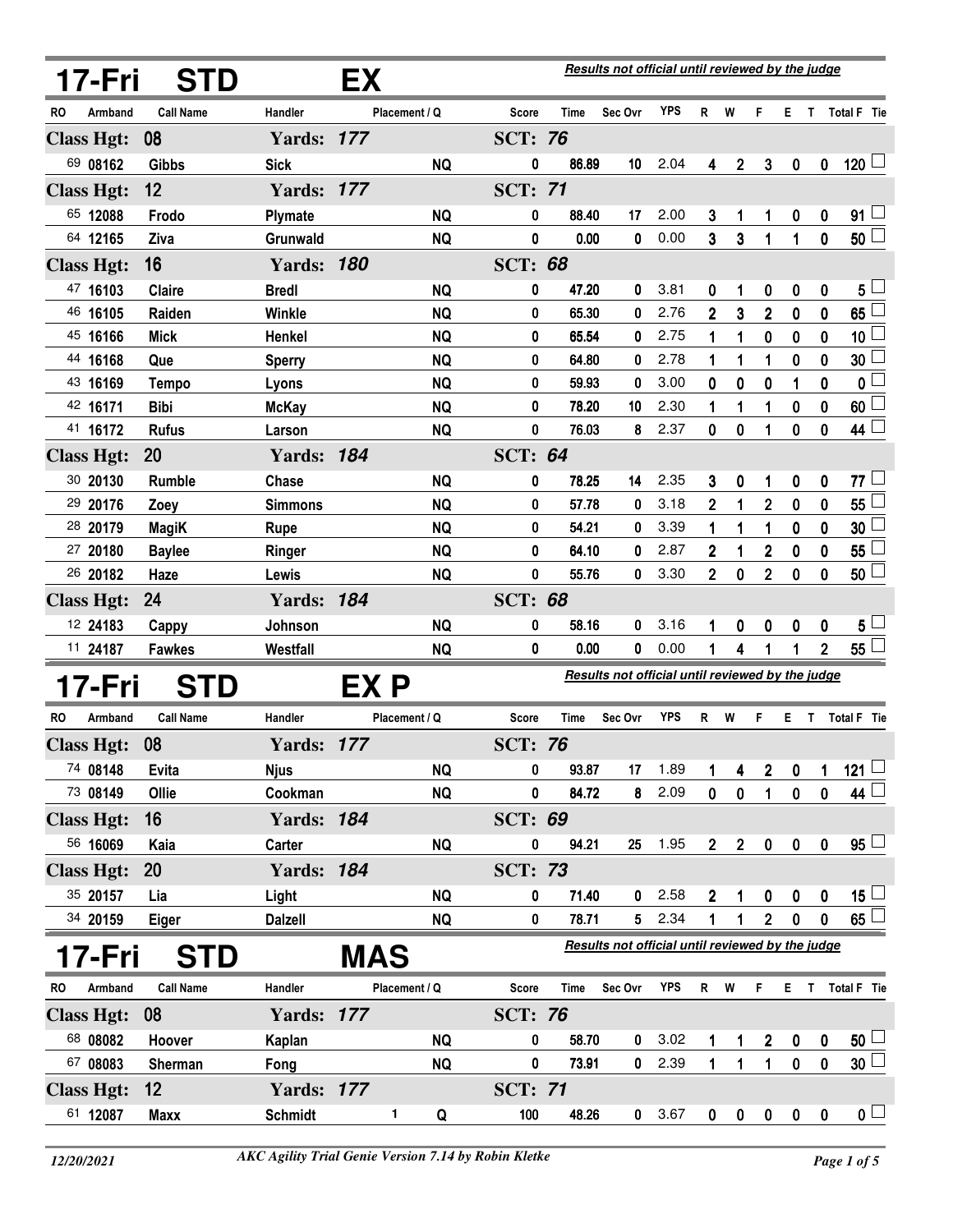|           | 17-Fri            | <b>STD</b>       |                   | EХ         |               |                                                  |             | Results not official until reviewed by the judge |            |                  |                  |                |                  |                |                     |
|-----------|-------------------|------------------|-------------------|------------|---------------|--------------------------------------------------|-------------|--------------------------------------------------|------------|------------------|------------------|----------------|------------------|----------------|---------------------|
| RO.       | Armband           | <b>Call Name</b> | Handler           |            | Placement / Q | <b>Score</b>                                     | <b>Time</b> | Sec Ovr                                          | <b>YPS</b> |                  | R W              | F              |                  |                | E T Total F Tie     |
|           | <b>Class Hgt:</b> | 08               | <b>Yards: 177</b> |            |               | <b>SCT: 76</b>                                   |             |                                                  |            |                  |                  |                |                  |                |                     |
|           | 69 08162          | <b>Gibbs</b>     | <b>Sick</b>       |            | <b>NQ</b>     | 0                                                | 86.89       | 10                                               | 2.04       | 4                | $\boldsymbol{2}$ | $\mathbf{3}$   | $\boldsymbol{0}$ | $\mathbf 0$    | $120$ $-$           |
|           | <b>Class Hgt:</b> | 12               | <b>Yards: 177</b> |            |               | <b>SCT: 71</b>                                   |             |                                                  |            |                  |                  |                |                  |                |                     |
|           | 65 12088          | Frodo            | Plymate           |            | <b>NQ</b>     | 0                                                | 88.40       | 17                                               | 2.00       | 3                | 1                | 1              | $\boldsymbol{0}$ | 0              | 91                  |
|           | 64 12165          | Ziva             | Grunwald          |            | <b>NQ</b>     | 0                                                | 0.00        | 0                                                | 0.00       | 3                | 3                | 1              | 1                | 0              | 50 <sup>5</sup>     |
|           | <b>Class Hgt:</b> | 16               | <b>Yards: 180</b> |            |               | <b>SCT: 68</b>                                   |             |                                                  |            |                  |                  |                |                  |                |                     |
|           | 47 16103          | Claire           | <b>Bredl</b>      |            | <b>NQ</b>     | 0                                                | 47.20       | 0                                                | 3.81       | 0                | 1                | 0              | 0                | 0              | $5^{\perp}$         |
|           | 46 16105          | Raiden           | Winkle            |            | <b>NQ</b>     | 0                                                | 65.30       | 0                                                | 2.76       | 2                | 3                | $\overline{2}$ | 0                | 0              | 65                  |
|           | 45 16166          | <b>Mick</b>      | Henkel            |            | <b>NQ</b>     | 0                                                | 65.54       | 0                                                | 2.75       | 1                | 1                | 0              | 0                | 0              | 10 <sub>1</sub>     |
|           | 44 16168          | Que              | <b>Sperry</b>     |            | <b>NQ</b>     | 0                                                | 64.80       | 0                                                | 2.78       | 1                | 1                | 1              | 0                | 0              | 30                  |
|           | 43 16169          | <b>Tempo</b>     | Lyons             |            | <b>NQ</b>     | 0                                                | 59.93       | 0                                                | 3.00       | 0                | 0                | 0              | 1                | 0              | 0                   |
|           | 42 16171          | <b>Bibi</b>      | <b>McKay</b>      |            | <b>NQ</b>     | 0                                                | 78.20       | 10                                               | 2.30       | 1                | 1                | 1              | 0                | 0              | 60                  |
|           | 41 16172          | <b>Rufus</b>     | Larson            |            | <b>NQ</b>     | 0                                                | 76.03       | 8                                                | 2.37       | 0                | 0                | 1              | 0                | 0              | 44                  |
|           | <b>Class Hgt:</b> | 20               | <b>Yards: 184</b> |            |               | <b>SCT: 64</b>                                   |             |                                                  |            |                  |                  |                |                  |                |                     |
|           | 30 20130          | Rumble           | Chase             |            | <b>NQ</b>     | 0                                                | 78.25       | 14                                               | 2.35       | 3                | 0                | 1              | 0                | 0              | 77 ∟                |
|           | 29 20176          | Zoey             | <b>Simmons</b>    |            | <b>NQ</b>     | 0                                                | 57.78       | 0                                                | 3.18       | 2                | 1                | $\mathbf 2$    | 0                | 0              | 55                  |
|           | 28 20179          | <b>MagiK</b>     | <b>Rupe</b>       |            | <b>NQ</b>     | 0                                                | 54.21       | 0                                                | 3.39       | 1                | 1                | 1              | 0                | 0              | 30                  |
|           | 27 20180          | <b>Baylee</b>    | Ringer            |            | <b>NQ</b>     | 0                                                | 64.10       | 0                                                | 2.87       | $\mathbf{2}$     | 1                | $\overline{2}$ | 0                | 0              | 55                  |
|           | 26 20182          | Haze             | Lewis             |            | <b>NQ</b>     | $\bf{0}$                                         | 55.76       | 0                                                | 3.30       | $\overline{2}$   | $\bf{0}$         | $\overline{2}$ | 0                | 0              | 50 └                |
|           | <b>Class Hgt:</b> | 24               | <b>Yards: 184</b> |            |               | <b>SCT: 68</b>                                   |             |                                                  |            |                  |                  |                |                  |                |                     |
|           | 12 24183          | Cappy            | Johnson           |            | <b>NQ</b>     | 0                                                | 58.16       | 0                                                | 3.16       | 1                | 0                | 0              | 0                | 0              | $5\perp$            |
|           | 11 24187          | <b>Fawkes</b>    | Westfall          |            | <b>NQ</b>     | 0                                                | 0.00        | 0                                                | 0.00       | 1                | 4                | 1              | 1                | $\overline{2}$ | $55 \Box$           |
|           | 17-Fri            | <b>STD</b>       |                   | EX P       |               | Results not official until reviewed by the judge |             |                                                  |            |                  |                  |                |                  |                |                     |
| <b>RO</b> | Armband           | <b>Call Name</b> | Handler           |            | Placement / Q | Score                                            | <b>Time</b> | Sec Ovr                                          | <b>YPS</b> | R                | W                | F              | E T              |                | <b>Total F</b> Tie  |
|           | <b>Class Hgt:</b> | 08               | <b>Yards: 177</b> |            |               | <b>SCT: 76</b>                                   |             |                                                  |            |                  |                  |                |                  |                |                     |
|           | 74 08148          | Evita            | <b>Njus</b>       |            | <b>NQ</b>     | 0                                                | 93.87       | 17                                               | 1.89       | 1                | 4                | $\mathbf 2$    | 0                | 1              | $121 -$             |
|           | 73 08149          | Ollie            | Cookman           |            | <b>NQ</b>     | 0                                                | 84.72       | 8                                                | 2.09       | 0                | 0                | 1              | $\pmb{0}$        | 0              | 44                  |
|           | <b>Class Hgt:</b> | 16               | <b>Yards: 184</b> |            |               | <b>SCT: 69</b>                                   |             |                                                  |            |                  |                  |                |                  |                |                     |
|           | 56 16069          | Kaia             | Carter            |            | <b>NQ</b>     | 0                                                | 94.21       | 25                                               | 1.95       | $2\overline{ }$  | $\boldsymbol{2}$ | $\pmb{0}$      | $\pmb{0}$        | $\pmb{0}$      | $95 -$              |
|           | <b>Class Hgt:</b> | 20               | <b>Yards: 184</b> |            |               | <b>SCT: 73</b>                                   |             |                                                  |            |                  |                  |                |                  |                |                     |
|           | 35 20157          | Lia              | Light             |            | <b>NQ</b>     | 0                                                | 71.40       | 0                                                | 2.58       | $\boldsymbol{2}$ | 1                | 0              | $\boldsymbol{0}$ | 0              | 15 $\lfloor$        |
|           | 34 20159          | <b>Eiger</b>     | <b>Dalzell</b>    |            | <b>NQ</b>     | 0                                                | 78.71       | 5.                                               | 2.34       | 1                | 1                | $\overline{2}$ | $\pmb{0}$        | 0              | $65 -$              |
|           | 17-Fri            | <b>STD</b>       |                   | <b>MAS</b> |               |                                                  |             | Results not official until reviewed by the judge |            |                  |                  |                |                  |                |                     |
| RO        | Armband           | <b>Call Name</b> | Handler           |            | Placement / Q | Score                                            | Time        | Sec Ovr                                          | <b>YPS</b> |                  | R W              | F              | ET.              |                | Total F Tie         |
|           | <b>Class Hgt:</b> | 08               | <b>Yards: 177</b> |            |               | <b>SCT: 76</b>                                   |             |                                                  |            |                  |                  |                |                  |                |                     |
|           | 68 08082          | Hoover           | Kaplan            |            | <b>NQ</b>     | 0                                                | 58.70       | 0                                                | 3.02       | 1                | 1                | $\overline{2}$ | 0                | 0              | $50 -$              |
|           | 67 08083          | Sherman          | Fong              |            | <b>NQ</b>     | $\pmb{0}$                                        | 73.91       | $\mathbf{0}$                                     | 2.39       | $\mathbf{1}$     | $\mathbf{1}$     | $\mathbf{1}$   | $\mathbf 0$      | $\mathbf 0$    | $30\perp$           |
|           | <b>Class Hgt:</b> | 12               | <b>Yards: 177</b> |            |               | <b>SCT: 71</b>                                   |             |                                                  |            |                  |                  |                |                  |                |                     |
|           | 61 12087          | <b>Maxx</b>      | <b>Schmidt</b>    |            | 1<br>Q        | 100                                              | 48.26       | 0                                                | 3.67       | 0                | 0                | $\mathbf 0$    | $\pmb{0}$        | $\mathbf 0$    | $\mathbf{0}$ $\Box$ |
|           |                   |                  |                   |            |               |                                                  |             |                                                  |            |                  |                  |                |                  |                |                     |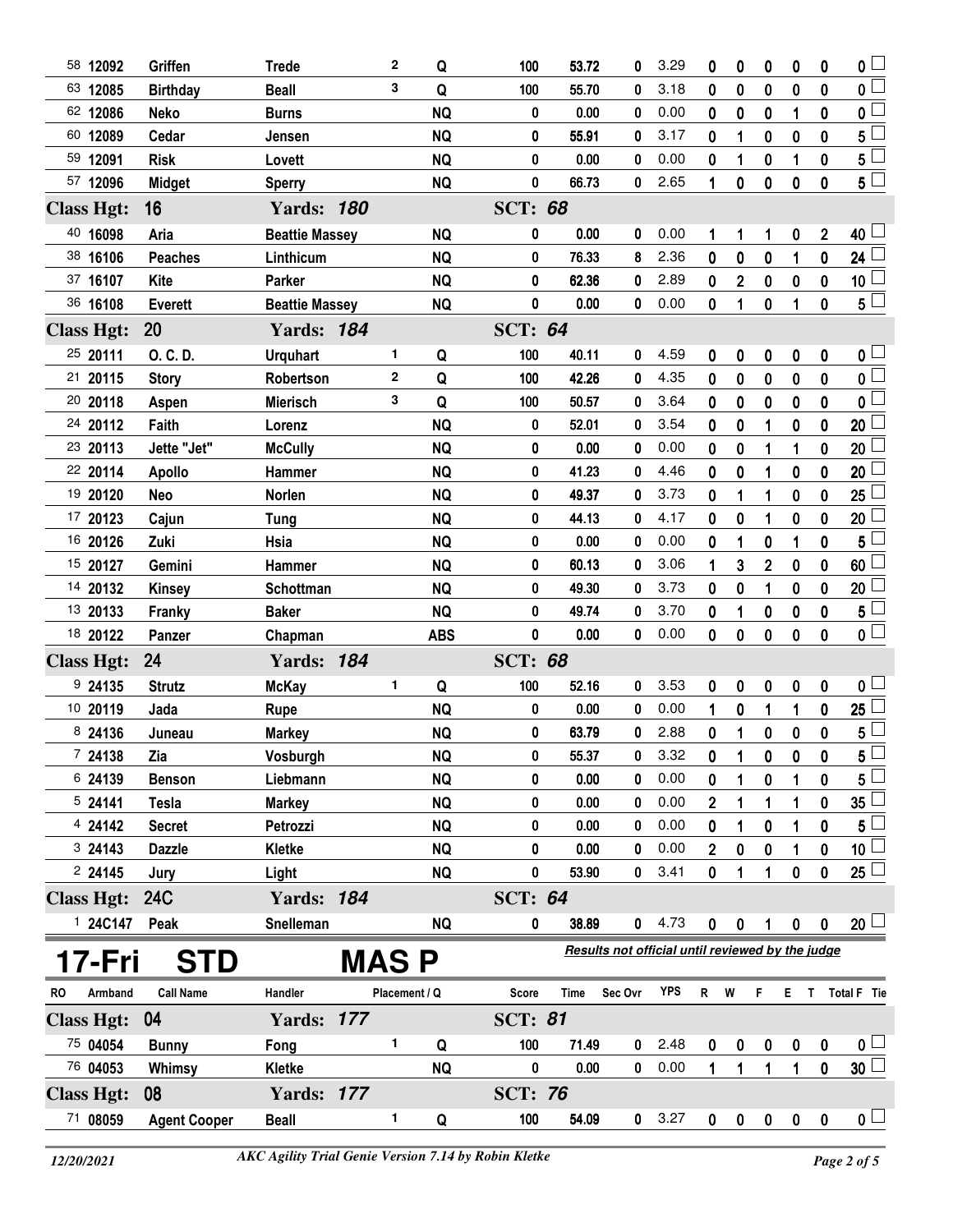| 58 12092            | Griffen             | <b>Trede</b>          |              | 2           | Q             | 100            | 53.72                                            | 0            | 3.29 | 0                 | 0                | 0                | 0            | 0              | $\overline{\mathbf{0}}$                   |
|---------------------|---------------------|-----------------------|--------------|-------------|---------------|----------------|--------------------------------------------------|--------------|------|-------------------|------------------|------------------|--------------|----------------|-------------------------------------------|
| 63 12085            | <b>Birthday</b>     | <b>Beall</b>          |              | 3           | Q             | 100            | 55.70                                            | 0            | 3.18 | 0                 | $\bf{0}$         | $\bf{0}$         | 0            | $\mathbf{0}$   | $\overline{\mathbf{0}}$                   |
| 62 12086            | <b>Neko</b>         | <b>Burns</b>          |              |             | <b>NQ</b>     | 0              | 0.00                                             | 0            | 0.00 | 0                 | 0                | 0                | 1            | 0              | $\mathbf{0}$                              |
| 60 12089            | Cedar               | Jensen                |              |             | <b>NQ</b>     | 0              | 55.91                                            | 0            | 3.17 | 0                 | 1                | 0                | $\bf{0}$     | 0              | 5                                         |
| 59 12091            | <b>Risk</b>         | Lovett                |              |             | <b>NQ</b>     | 0              | 0.00                                             | 0            | 0.00 | 0                 | 1                | 0                | 1            | 0              | $5^{\Box}$                                |
| 57 12096            | <b>Midget</b>       | <b>Sperry</b>         |              |             | <b>NQ</b>     | $\bf{0}$       | 66.73                                            | 0            | 2.65 | 1                 | $\pmb{0}$        | $\mathbf 0$      | $\bf{0}$     | $\mathbf 0$    | $5^{\degree}$                             |
| <b>Class Hgt:</b>   | 16                  | <b>Yards: 180</b>     |              |             |               | <b>SCT: 68</b> |                                                  |              |      |                   |                  |                  |              |                |                                           |
| 40 16098            | Aria                | <b>Beattie Massey</b> |              |             | <b>NQ</b>     | 0              | 0.00                                             | 0            | 0.00 |                   |                  |                  |              | $\overline{2}$ | 40 $\lfloor$                              |
| 38 16106            | <b>Peaches</b>      | Linthicum             |              |             | <b>NQ</b>     | 0              | 76.33                                            | 8            | 2.36 | 1<br>$\mathbf{0}$ | 1<br>$\mathbf 0$ | 1<br>$\bf{0}$    | 0<br>1       | 0              | 24                                        |
| 37 16107            | <b>Kite</b>         | Parker                |              |             | <b>NQ</b>     | 0              | 62.36                                            | 0            | 2.89 | 0                 | $\overline{2}$   | $\boldsymbol{0}$ | 0            | 0              | 10 <sub>1</sub>                           |
| 36 16108            | <b>Everett</b>      | <b>Beattie Massey</b> |              |             | <b>NQ</b>     | 0              | 0.00                                             | 0            | 0.00 | 0                 | 1                | 0                | 1            | 0              | $5^{\perp}$                               |
|                     |                     |                       |              |             |               |                |                                                  |              |      |                   |                  |                  |              |                |                                           |
| <b>Class Hgt:</b>   | 20                  | <b>Yards: 184</b>     |              |             |               | <b>SCT: 64</b> |                                                  |              |      |                   |                  |                  |              |                |                                           |
| 25 20111            | O. C. D.            | <b>Urquhart</b>       |              | 1           | Q             | 100            | 40.11                                            | 0            | 4.59 | 0                 | 0                | 0                | 0            | 0              | 0 <sub>1</sub>                            |
| 21 20115            | <b>Story</b>        | Robertson             |              | $\mathbf 2$ | Q             | 100            | 42.26                                            | 0            | 4.35 | 0                 | 0                | 0                | $\mathbf 0$  | 0              | 0 L                                       |
| 20 20118            | Aspen               | <b>Mierisch</b>       |              | 3           | Q             | 100            | 50.57                                            | 0            | 3.64 | 0                 | 0                | 0                | 0            | 0              | $\mathbf 0$                               |
| 24 20112            | Faith               | Lorenz                |              |             | <b>NQ</b>     | 0              | 52.01                                            | 0            | 3.54 | 0                 | 0                | 1                | 0            | 0              | 20                                        |
| 23 20113            | Jette "Jet"         | <b>McCully</b>        |              |             | <b>NQ</b>     | 0              | 0.00                                             | 0            | 0.00 | 0                 | 0                | 1                | 1            | 0              | 20                                        |
| 22 20114            | <b>Apollo</b>       | Hammer                |              |             | <b>NQ</b>     | 0              | 41.23                                            | 0            | 4.46 | 0                 | 0                | 1                | $\mathbf 0$  | 0              | 20                                        |
| 19 20120            | Neo                 | Norlen                |              |             | <b>NQ</b>     | 0              | 49.37                                            | 0            | 3.73 | 0                 | 1                | 1                | 0            | 0              | 25                                        |
| 17 20123            | Cajun               | <b>Tung</b>           |              |             | <b>NQ</b>     | 0              | 44.13                                            | 0            | 4.17 | 0                 | 0                | 1                | 0            | 0              | 20                                        |
| 16 20126            | Zuki                | Hsia                  |              |             | <b>NQ</b>     | 0              | 0.00                                             | 0            | 0.00 | 0                 | 1                | 0                |              | 0              | 5                                         |
| 15 20127            | Gemini              | Hammer                |              |             | <b>NQ</b>     | 0              | 60.13                                            | 0            | 3.06 | 1                 | 3                | $\overline{2}$   | $\bf{0}$     | 0              | 60                                        |
| 14 20132            | <b>Kinsey</b>       | Schottman             |              |             | <b>NQ</b>     | 0              | 49.30                                            | 0            | 3.73 | 0                 | 0                | 1                | 0            | 0              | 20                                        |
| 13 20133            | Franky              | <b>Baker</b>          |              |             | <b>NQ</b>     | 0              | 49.74                                            | 0            | 3.70 | 0                 | 1                | 0                | $\bf{0}$     | 0              | 5 <sup>5</sup><br>$\overline{\mathbf{0}}$ |
| 18 20122            | Panzer              | Chapman               |              |             | <b>ABS</b>    | $\bf{0}$       | 0.00                                             | 0            | 0.00 | 0                 | $\bf{0}$         | 0                | $\bf{0}$     | 0              |                                           |
| <b>Class Hgt:</b>   | 24                  | <b>Yards: 184</b>     |              |             |               | <b>SCT: 68</b> |                                                  |              |      |                   |                  |                  |              |                |                                           |
| 9 24135             | <b>Strutz</b>       | <b>McKay</b>          |              | 1           | Q             | 100            | 52.16                                            | 0            | 3.53 | 0                 | 0                | 0                | 0            | 0              | 0 <sub>1</sub>                            |
| 10 20119            | Jada                | Rupe                  |              |             | <b>NQ</b>     | 0              | 0.00                                             | 0            | 0.00 | 1                 | 0                | 1                | 1            | 0              | $\overline{25}$                           |
| 8 24136             | Juneau              | <b>Markey</b>         |              |             | <b>NQ</b>     | 0              | 63.79                                            | 0            | 2.88 | 0                 | 1                | 0                | $\mathbf 0$  | 0              | 5                                         |
| 7 24138             | Zia                 | Vosburgh              |              |             | <b>NQ</b>     | 0              | 55.37                                            | 0            | 3.32 | 0                 | 1                | 0                | 0            | 0              | $\overline{5}$                            |
| 6 24139             | <b>Benson</b>       | Liebmann              |              |             | <b>NQ</b>     | 0              | 0.00                                             | 0            | 0.00 | 0                 | 1                | 0                |              | 0              | 5                                         |
| 524141              | <b>Tesla</b>        | <b>Markey</b>         |              |             | <b>NQ</b>     | 0              | 0.00                                             | 0            | 0.00 | 2                 | 1                | 1                |              | 0              | 35 <sub>2</sub>                           |
| 4 24142             | <b>Secret</b>       | Petrozzi              |              |             | <b>NQ</b>     | 0              | 0.00                                             | 0            | 0.00 | 0                 | 1                | 0                |              | 0              | $5^{\frac{1}{2}}$                         |
| 324143              | <b>Dazzle</b>       | Kletke                |              |             | <b>NQ</b>     | 0              | 0.00                                             | 0            | 0.00 | 2                 | 0                | 0                |              | 0              | 10 <sup>2</sup>                           |
| 224145              | Jury                | Light                 |              |             | <b>NQ</b>     | 0              | 53.90                                            | 0            | 3.41 | 0                 | 1                | 1                | $\mathbf 0$  | 0              | $25\perp$                                 |
| <b>Class Hgt:</b>   | <b>24C</b>          | <b>Yards: 184</b>     |              |             |               | <b>SCT: 64</b> |                                                  |              |      |                   |                  |                  |              |                |                                           |
| <sup>1</sup> 24C147 | Peak                | Snelleman             |              |             | NQ            | 0              | 38.89                                            | 0            | 4.73 | 0                 | 0                | 1                | $\pmb{0}$    | 0              | $20\perp$                                 |
| 17-Fri              | <b>STD</b>          |                       | <b>MAS P</b> |             |               |                | Results not official until reviewed by the judge |              |      |                   |                  |                  |              |                |                                           |
| Armband<br>RO.      | <b>Call Name</b>    | Handler               |              |             | Placement / Q | <b>Score</b>   | <b>Time</b>                                      | Sec Ovr      | YPS  | R W               |                  | F.               |              |                | E T Total F Tie                           |
| <b>Class Hgt:</b>   | 04                  | <b>Yards: 177</b>     |              |             |               | <b>SCT: 81</b> |                                                  |              |      |                   |                  |                  |              |                |                                           |
| 75 04054            | <b>Bunny</b>        | Fong                  |              | 1           | Q             | 100            | 71.49                                            | 0            | 2.48 | 0                 | 0                | 0                | 0            | 0              | 0 <sub>1</sub>                            |
| 76 04053            | Whimsy              | Kletke                |              |             | <b>NQ</b>     | 0              | 0.00                                             | 0            | 0.00 | $\mathbf{1}$      | 1                | $\mathbf{1}$     | 1            | 0              | 30 <sup>1</sup>                           |
| <b>Class Hgt:</b>   | 08                  | <b>Yards: 177</b>     |              |             |               | <b>SCT: 76</b> |                                                  |              |      |                   |                  |                  |              |                |                                           |
| 71 08059            | <b>Agent Cooper</b> | <b>Beall</b>          |              | 1           | Q             | 100            | 54.09                                            | $\mathbf{0}$ | 3.27 | $\mathbf 0$       | $\pmb{0}$        | $\mathbf{0}$     | $\mathbf{0}$ | $\mathbf 0$    | 0 <sub>1</sub>                            |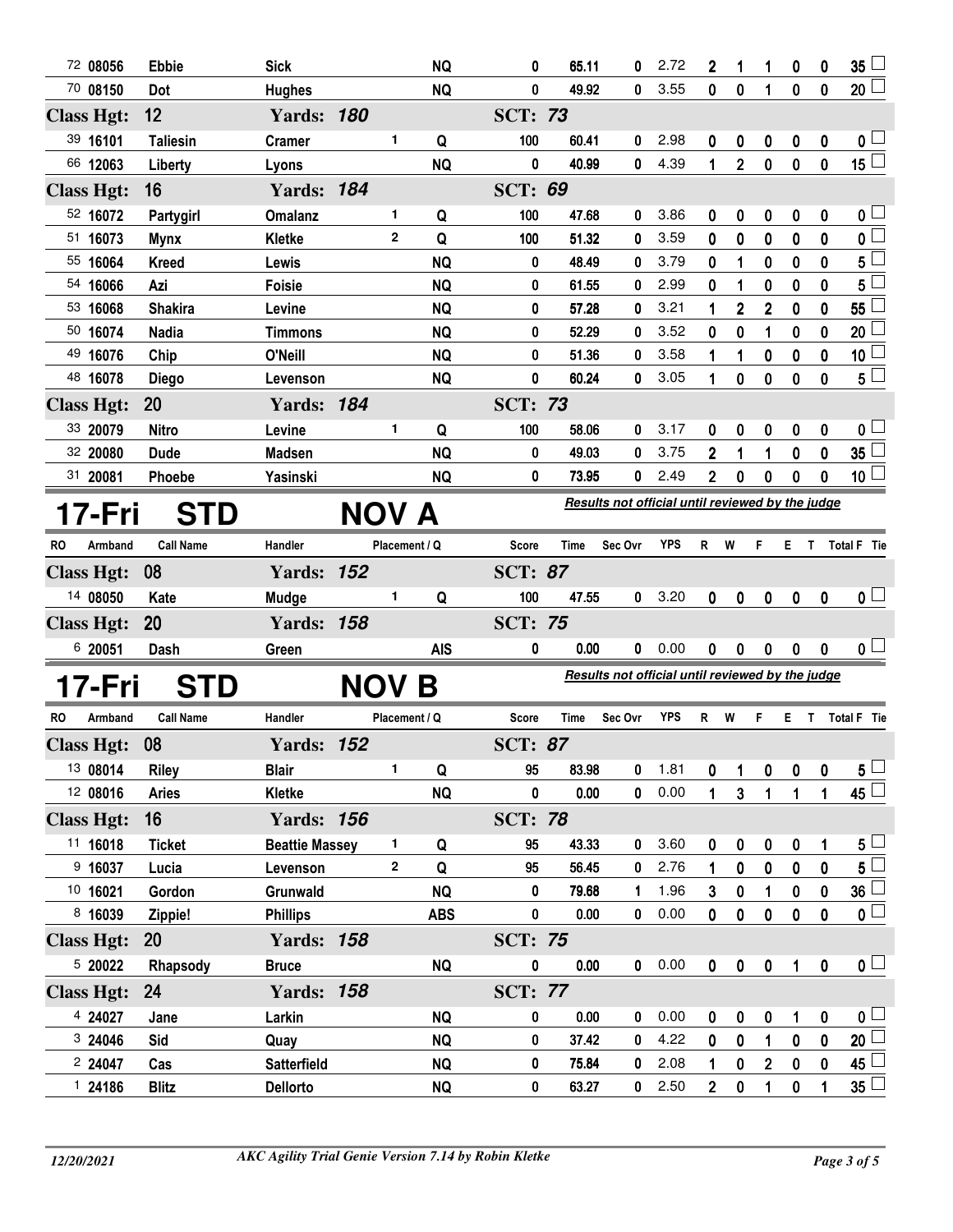|                   | 72 08056  | <b>Ebbie</b>     | <b>Sick</b>           |              |               | <b>NQ</b>  | 0              | 65.11       | 0                                                | 2.72       | 2                | 1              | 1                       | 0                | 0                | $35\lceil$              |
|-------------------|-----------|------------------|-----------------------|--------------|---------------|------------|----------------|-------------|--------------------------------------------------|------------|------------------|----------------|-------------------------|------------------|------------------|-------------------------|
|                   | 70 08150  | Dot              | <b>Hughes</b>         |              |               | <b>NQ</b>  | 0              | 49.92       | 0                                                | 3.55       | $\mathbf{0}$     | $\bf{0}$       | 1                       | 0                | 0                | 20                      |
| <b>Class Hgt:</b> |           | 12               | <b>Yards: 180</b>     |              |               |            | <b>SCT: 73</b> |             |                                                  |            |                  |                |                         |                  |                  |                         |
|                   | 39 16101  | <b>Taliesin</b>  | <b>Cramer</b>         |              | 1             | Q          | 100            | 60.41       | 0                                                | 2.98       | 0                | 0              | 0                       | 0                | 0                | $\mathbf{0}$ $\Box$     |
|                   | 66 12063  | Liberty          | Lyons                 |              |               | <b>NQ</b>  | 0              | 40.99       | 0                                                | 4.39       | 1                | $\overline{2}$ | $\bf{0}$                | $\mathbf 0$      | 0                | $15\square$             |
| <b>Class Hgt:</b> |           | 16               | <b>Yards: 184</b>     |              |               |            | <b>SCT: 69</b> |             |                                                  |            |                  |                |                         |                  |                  |                         |
|                   | 52 16072  | Partygirl        | <b>Omalanz</b>        |              | 1             | Q          | 100            | 47.68       | 0                                                | 3.86       | 0                | 0              | 0                       | 0                | 0                | 0 <sub>1</sub>          |
|                   | 51 16073  | <b>Mynx</b>      | <b>Kletke</b>         |              | $\mathbf{2}$  | Q          | 100            | 51.32       | 0                                                | 3.59       | 0                | $\bf{0}$       | $\bf{0}$                | 0                | $\bf{0}$         | $\overline{\mathbf{0}}$ |
|                   | 55 16064  | <b>Kreed</b>     | Lewis                 |              |               | <b>NQ</b>  | 0              | 48.49       | 0                                                | 3.79       | 0                | 1              | 0                       | 0                | $\bf{0}$         | $5^{\Box}$              |
|                   | 54 16066  | Azi              | Foisie                |              |               | <b>NQ</b>  | 0              | 61.55       | 0                                                | 2.99       | 0                | 1              | 0                       | 0                | 0                | 5                       |
|                   | 53 16068  | <b>Shakira</b>   | Levine                |              |               | <b>NQ</b>  | 0              | 57.28       | 0                                                | 3.21       | 1                | $\overline{2}$ | $\overline{\mathbf{c}}$ | 0                | 0                | $\overline{55}$         |
|                   | 50 16074  | <b>Nadia</b>     | <b>Timmons</b>        |              |               | <b>NQ</b>  | 0              | 52.29       | 0                                                | 3.52       | 0                | 0              | 1                       | 0                | 0                | 20                      |
|                   | 49 16076  | Chip             | O'Neill               |              |               | <b>NQ</b>  | 0              | 51.36       | 0                                                | 3.58       |                  | 1              | 0                       | 0                | 0                | $10\sqcup$              |
|                   | 48 16078  | <b>Diego</b>     | Levenson              |              |               | <b>NQ</b>  | 0              | 60.24       | 0                                                | 3.05       | 1                | 0              | 0                       | $\mathbf{0}$     | 0                | $5^{\square}$           |
| <b>Class Hgt:</b> |           | 20               | <b>Yards: 184</b>     |              |               |            | <b>SCT: 73</b> |             |                                                  |            |                  |                |                         |                  |                  |                         |
|                   | 33 20079  | <b>Nitro</b>     | Levine                |              | 1             | Q          | 100            | 58.06       | 0                                                | 3.17       | 0                | 0              | 0                       | 0                | 0                | $\mathbf{0}$ $\Box$     |
|                   | 32 20080  | <b>Dude</b>      | <b>Madsen</b>         |              |               | <b>NQ</b>  | 0              | 49.03       | 0                                                | 3.75       | $\boldsymbol{2}$ | 1              | 1                       | 0                | 0                | $35\lceil$              |
|                   | 31 20081  | Phoebe           | Yasinski              |              |               | <b>NQ</b>  | 0              | 73.95       | 0                                                | 2.49       | $\mathbf{2}$     | 0              | 0                       | 0                | $\mathbf 0$      | $10\perp$               |
|                   |           |                  |                       |              |               |            |                |             | Results not official until reviewed by the judge |            |                  |                |                         |                  |                  |                         |
|                   | 17-Fri    | <b>STD</b>       |                       | NOV A        |               |            |                |             |                                                  |            |                  |                |                         |                  |                  |                         |
| <b>RO</b>         | Armband   | <b>Call Name</b> | Handler               |              | Placement / Q |            | Score          | <b>Time</b> | Sec Ovr                                          | <b>YPS</b> | R W              |                | F.                      | E T              |                  | <b>Total F</b> Tie      |
|                   |           | 08               | <b>Yards: 152</b>     |              |               |            |                |             |                                                  |            |                  |                |                         |                  |                  |                         |
| <b>Class Hgt:</b> |           |                  |                       |              |               |            | <b>SCT: 87</b> |             |                                                  |            |                  |                |                         |                  |                  |                         |
|                   | 14 08050  | Kate             | Mudge                 |              | 1             | Q          | 100            | 47.55       | 0                                                | 3.20       | $\boldsymbol{0}$ | 0              | $\boldsymbol{0}$        | $\mathbf 0$      | $\boldsymbol{0}$ | $\mathfrak{o} \sqcup$   |
| <b>Class Hgt:</b> |           | 20               | <b>Yards: 158</b>     |              |               |            | <b>SCT: 75</b> |             |                                                  |            |                  |                |                         |                  |                  |                         |
|                   | 6 20051   | Dash             | Green                 |              |               | <b>AIS</b> | 0              | 0.00        | 0                                                | 0.00       | 0                | 0              | 0                       | 0                | 0                | 0 <sub>1</sub>          |
|                   |           |                  |                       |              |               |            |                |             | Results not official until reviewed by the judge |            |                  |                |                         |                  |                  |                         |
|                   | 17-Fri    | <b>STD</b>       |                       | <b>NOV B</b> |               |            |                |             |                                                  |            |                  |                |                         |                  |                  |                         |
| <b>RO</b>         | Armband   | <b>Call Name</b> | Handler               |              | Placement / Q |            | Score          | Time        | Sec Ovr                                          | <b>YPS</b> | R.               | W              | F.                      | E.               | $\mathbf{T}$     | Total F Tie             |
| <b>Class Hgt:</b> |           | 08               | Yards:                | 152          |               |            | <b>SCT: 87</b> |             |                                                  |            |                  |                |                         |                  |                  |                         |
|                   | 13 08014  | <b>Riley</b>     | <b>Blair</b>          |              | 1             | Q          | 95             | 83.98       | 0                                                | 1.81       | 0                | 1              | 0                       | 0                | 0                | 5 <sup>L</sup>          |
|                   | 12 08016  | <b>Aries</b>     | Kletke                |              |               | <b>NQ</b>  | 0              | 0.00        | $\mathbf 0$                                      | 0.00       | 1                | 3              | 1                       | 1                | 1                | $45\Box$                |
| <b>Class Hgt:</b> |           | 16               | <b>Yards: 156</b>     |              |               |            | <b>SCT: 78</b> |             |                                                  |            |                  |                |                         |                  |                  |                         |
|                   | 11 16018  | <b>Ticket</b>    | <b>Beattie Massey</b> |              | 1             | Q          | 95             | 43.33       | 0                                                | 3.60       | 0                | 0              | 0                       | 0                | 1                | $5^{\perp}$             |
|                   | $9$ 16037 | Lucia            | Levenson              |              | $\mathbf 2$   | Q          | 95             | 56.45       | 0                                                | 2.76       | 1                | $\pmb{0}$      | 0                       | $\pmb{0}$        | $\mathbf 0$      | $5^{\square}$           |
|                   | 10 16021  | Gordon           | Grunwald              |              |               | <b>NQ</b>  | 0              | 79.68       | 1                                                | 1.96       | $\mathbf{3}$     | 0              | 1                       | $\pmb{0}$        | $\pmb{0}$        | 36 <sup>1</sup>         |
|                   | 8 16039   | Zippie!          | <b>Phillips</b>       |              |               | <b>ABS</b> | 0              | 0.00        | 0                                                | 0.00       | 0                | $\pmb{0}$      | $\pmb{0}$               | $\pmb{0}$        | $\mathbf 0$      | $\mathfrak{o} \square$  |
| <b>Class Hgt:</b> |           | <b>20</b>        | <b>Yards: 158</b>     |              |               |            | <b>SCT: 75</b> |             |                                                  |            |                  |                |                         |                  |                  |                         |
|                   | 5 20022   | Rhapsody         | <b>Bruce</b>          |              |               | <b>NQ</b>  | $\pmb{0}$      | 0.00        | $\pmb{0}$                                        | 0.00       | $\mathbf 0$      | $\pmb{0}$      | $\pmb{0}$               | $\mathbf{1}$     | $\pmb{0}$        | $\mathbf{0}$ $\Box$     |
| <b>Class Hgt:</b> |           | 24               | <b>Yards: 158</b>     |              |               |            | <b>SCT: 77</b> |             |                                                  |            |                  |                |                         |                  |                  |                         |
|                   | 4 24027   | Jane             | Larkin                |              |               | <b>NQ</b>  | 0              | 0.00        | 0                                                | 0.00       | $\boldsymbol{0}$ | 0              | 0                       | 1                | 0                | 0 <sub>1</sub>          |
|                   | 3 24046   | Sid              | Quay                  |              |               | <b>NQ</b>  | 0              | 37.42       | 0                                                | 4.22       | $\mathbf 0$      | 0              | 1                       | $\bf{0}$         | $\pmb{0}$        | 20 <sup>1</sup>         |
|                   | 2 24047   | Cas              | <b>Satterfield</b>    |              |               | <b>NQ</b>  | 0              | 75.84       | 0                                                | 2.08       | 1                | 0              | $\overline{\mathbf{2}}$ | $\boldsymbol{0}$ | $\pmb{0}$        | $45 \Box$               |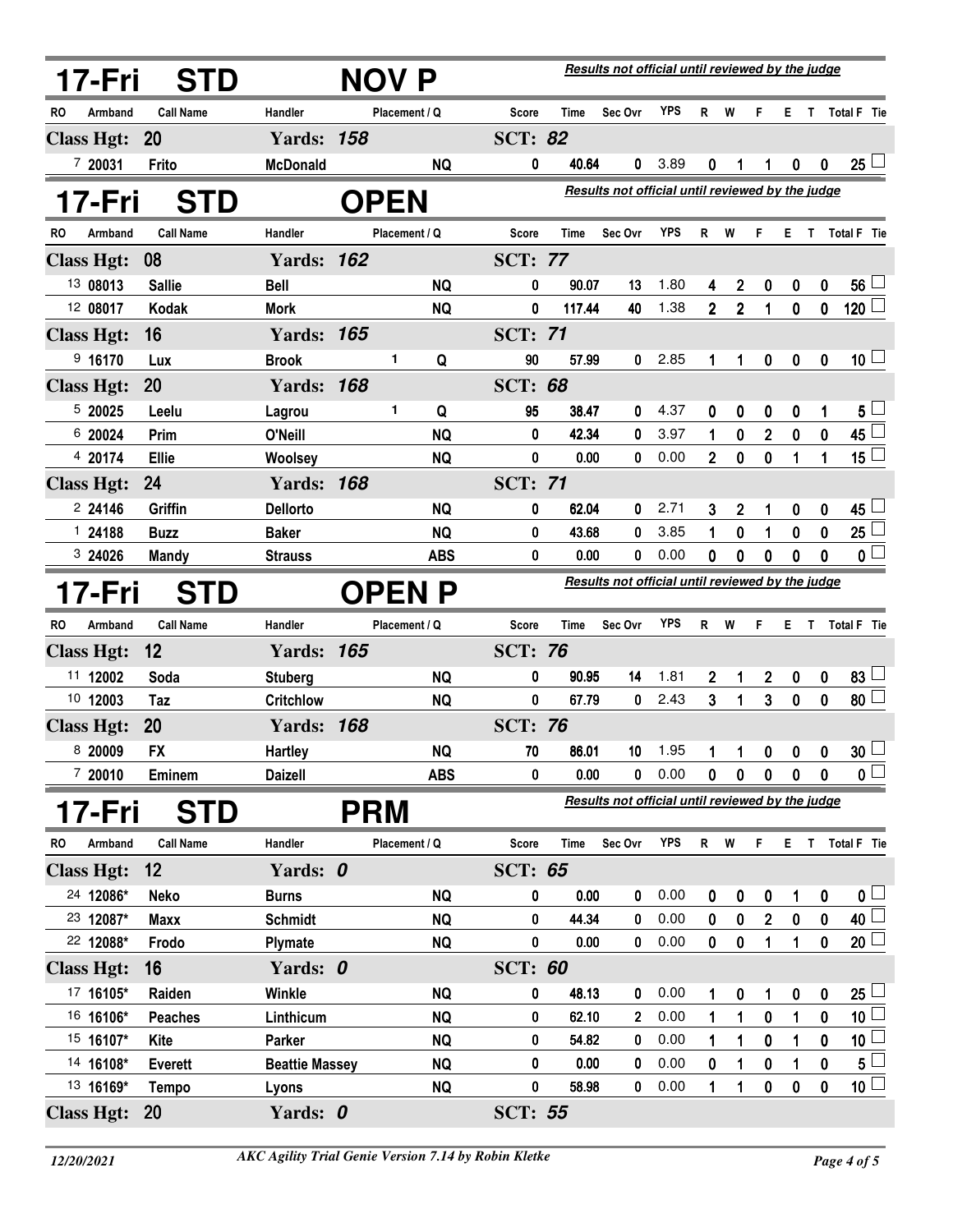|           | 17-Fri            | <b>STD</b>       |                       | <b>NOV P</b>  |            |                |             | Results not official until reviewed by the judge |                 |                |                  |                         |             |                  |                    |
|-----------|-------------------|------------------|-----------------------|---------------|------------|----------------|-------------|--------------------------------------------------|-----------------|----------------|------------------|-------------------------|-------------|------------------|--------------------|
| RO        | Armband           | <b>Call Name</b> | Handler               | Placement / Q |            | Score          | <b>Time</b> | Sec Ovr                                          | <b>YPS</b>      | $\mathsf{R}$   | W                | F.                      |             |                  | E T Total F Tie    |
|           | <b>Class Hgt:</b> | <b>20</b>        | <b>Yards: 158</b>     |               |            | <b>SCT: 82</b> |             |                                                  |                 |                |                  |                         |             |                  |                    |
|           | 7 20031           | Frito            | <b>McDonald</b>       |               | <b>NQ</b>  | 0              | 40.64       | 0                                                | 3.89            | 0              | 1                | 1                       | $\bf{0}$    | $\boldsymbol{0}$ | 25 <sup>1</sup>    |
|           | 17-Fri            | <b>STD</b>       |                       | <b>OPEN</b>   |            |                |             | Results not official until reviewed by the judge |                 |                |                  |                         |             |                  |                    |
| <b>RO</b> | Armband           | <b>Call Name</b> | Handler               | Placement / Q |            | Score          | <b>Time</b> | Sec Ovr                                          | <b>YPS</b>      | R              | W                | F                       | Е           | $\mathsf{T}$     | <b>Total F</b> Tie |
|           | <b>Class Hgt:</b> | 08               | <b>Yards: 162</b>     |               |            | <b>SCT: 77</b> |             |                                                  |                 |                |                  |                         |             |                  |                    |
|           | 13 08013          | <b>Sallie</b>    | <b>Bell</b>           |               | <b>NQ</b>  | 0              | 90.07       | 13                                               | 1.80            | 4              | $\mathbf 2$      | 0                       | 0           | 0                | 56 <sup>°</sup>    |
|           | 12 08017          | Kodak            | <b>Mork</b>           |               | <b>NQ</b>  | 0              | 117.44      | 40                                               | 1.38            | $\overline{2}$ | $\mathbf 2$      | 1                       | $\mathbf 0$ | $\mathbf 0$      | $120$ $-$          |
|           | <b>Class Hgt:</b> | 16               | <b>Yards: 165</b>     |               |            | <b>SCT: 71</b> |             |                                                  |                 |                |                  |                         |             |                  |                    |
|           | 9 16170           | Lux              | <b>Brook</b>          | 1             | Q          | 90             | 57.99       | 0                                                | 2.85            | 1              | 1                | 0                       | 0           | $\mathbf 0$      | $10\perp$          |
|           | <b>Class Hgt:</b> | 20               | <b>Yards: 168</b>     |               |            | <b>SCT: 68</b> |             |                                                  |                 |                |                  |                         |             |                  |                    |
|           | 5 20025           | Leelu            | Lagrou                | 1.            | Q          | 95             | 38.47       | 0                                                | 4.37            | 0              | 0                | 0                       | 0           |                  | $5+$               |
|           | 6 20024           | Prim             | O'Neill               |               | <b>NQ</b>  | 0              | 42.34       | 0                                                | 3.97            | 1              | 0                | $\mathbf 2$             | $\pmb{0}$   | $\pmb{0}$        | 45                 |
|           | 4 20174           | Ellie            | <b>Woolsey</b>        |               | <b>NQ</b>  | 0              | 0.00        | 0                                                | 0.00            | $\overline{2}$ | $\mathbf 0$      | $\pmb{0}$               | 1           | 1                | 15 $\Box$          |
|           | <b>Class Hgt:</b> | 24               | <b>Yards: 168</b>     |               |            | <b>SCT: 71</b> |             |                                                  |                 |                |                  |                         |             |                  |                    |
|           | 224146            | Griffin          | <b>Dellorto</b>       |               | <b>NQ</b>  | 0              | 62.04       | 0                                                | 2.71            | 3              | $\boldsymbol{2}$ | 1                       | 0           | $\mathbf 0$      | 45                 |
|           | 124188            | <b>Buzz</b>      | <b>Baker</b>          |               | <b>NQ</b>  | 0              | 43.68       | 0                                                | 3.85            | 1              | 0                | 1                       | 0           | 0                | 25 <sup>1</sup>    |
|           | 324026            | <b>Mandy</b>     | <b>Strauss</b>        |               | <b>ABS</b> | 0              | 0.00        | 0                                                | 0.00            | 0              | 0                | 0                       | $\bf{0}$    | $\mathbf 0$      | 0 <sup>1</sup>     |
|           | 17-Fri            | <b>STD</b>       |                       | <b>OPEN P</b> |            |                |             | Results not official until reviewed by the judge |                 |                |                  |                         |             |                  |                    |
| <b>RO</b> | Armband           | <b>Call Name</b> | Handler               | Placement / Q |            | Score          | <b>Time</b> | Sec Ovr                                          | YPS             | R              | W                | F                       | Е           | T                | Total F Tie        |
|           | <b>Class Hgt:</b> | 12               | <b>Yards: 165</b>     |               |            | <b>SCT: 76</b> |             |                                                  |                 |                |                  |                         |             |                  |                    |
|           | 11 12002          | Soda             | <b>Stuberg</b>        |               | <b>NQ</b>  | 0              | 90.95       | 14                                               | 1.81            | $\mathbf 2$    | 1                | $\boldsymbol{2}$        | 0           | $\boldsymbol{0}$ | 83 <sup>°</sup>    |
|           | 10 12003          | Taz              | <b>Critchlow</b>      |               | <b>NQ</b>  | 0              | 67.79       | 0                                                | 2.43            | 3              | 1                | 3                       | $\mathbf 0$ | $\mathbf 0$      | 80 <sup>1</sup>    |
|           | <b>Class Hgt:</b> | <b>20</b>        | <b>Yards:</b>         | 168           |            | <b>SCT: 76</b> |             |                                                  |                 |                |                  |                         |             |                  |                    |
|           | 8 20009           | <b>FX</b>        | <b>Hartley</b>        |               | <b>NQ</b>  | 70             | 86.01       |                                                  | $10 \quad 1.95$ |                |                  | 1 1 0 0 0               |             |                  | 30 <sup>1</sup>    |
|           | 720010            | Eminem           | <b>Daizell</b>        |               | <b>ABS</b> | 0              | 0.00        |                                                  | 0.00            | $\mathbf{0}$   | $\mathbf 0$      | 0                       | 0           | 0                | 0 L                |
|           | 17-Fri            | <b>STD</b>       |                       | <b>PRM</b>    |            |                |             | Results not official until reviewed by the judge |                 |                |                  |                         |             |                  |                    |
| RO.       | Armband           | <b>Call Name</b> | Handler               | Placement / Q |            | Score          | Time        | Sec Ovr                                          | <b>YPS</b>      | R.             | W                | F                       |             |                  | E T Total F Tie    |
|           | <b>Class Hgt:</b> | 12               | Yards: 0              |               |            | <b>SCT: 65</b> |             |                                                  |                 |                |                  |                         |             |                  |                    |
|           | 24 12086*         | <b>Neko</b>      | <b>Burns</b>          |               | <b>NQ</b>  | 0              | 0.00        | 0                                                | 0.00            | 0              | 0                | 0                       | 1           | 0                | 0 <sub>1</sub>     |
|           | 23 12087*         | <b>Maxx</b>      | <b>Schmidt</b>        |               | <b>NQ</b>  | 0              | 44.34       | 0                                                | 0.00            | 0              | 0                | $\overline{\mathbf{2}}$ | 0           | 0                | 40 <sup>1</sup>    |
|           | 22 12088*         | Frodo            | <b>Plymate</b>        |               | <b>NQ</b>  | 0              | 0.00        | $\mathbf 0$                                      | 0.00            | $\mathbf 0$    | $\boldsymbol{0}$ | 1                       | 1           | $\pmb{0}$        | $20\perp$          |
|           | <b>Class Hgt:</b> | 16               | Yards: 0              |               |            | <b>SCT: 60</b> |             |                                                  |                 |                |                  |                         |             |                  |                    |
|           | 17 16105*         | Raiden           | <b>Winkle</b>         |               | NQ         | 0              | 48.13       | 0                                                | 0.00            | 1              | 0                | 1                       | 0           | 0                | $25\lfloor$        |
|           | 16 16106*         | <b>Peaches</b>   | Linthicum             |               | <b>NQ</b>  | 0              | 62.10       | 2                                                | 0.00            | 1              | 1                | 0                       | 1           | $\mathbf 0$      | 10 <sup>L</sup>    |
|           | 15 16107*         | Kite             | Parker                |               | <b>NQ</b>  | 0              | 54.82       | 0                                                | 0.00            | 1              | 1                | $\boldsymbol{0}$        | 1           | 0                | 10 <sup>1</sup>    |
|           | 14 16108*         | <b>Everett</b>   | <b>Beattie Massey</b> |               | <b>NQ</b>  | 0              | 0.00        | 0                                                | 0.00            | 0              | 1                | 0                       | 1           | $\bf{0}$         | 5 L                |
|           | 13 16169*         | <b>Tempo</b>     | Lyons                 |               | <b>NQ</b>  | 0              | 58.98       | 0                                                | 0.00            | 1              | 1                | 0                       | 0           | 0                | 10 <sup>1</sup>    |
|           | <b>Class Hgt:</b> | <b>20</b>        | Yards: 0              |               |            | <b>SCT: 55</b> |             |                                                  |                 |                |                  |                         |             |                  |                    |